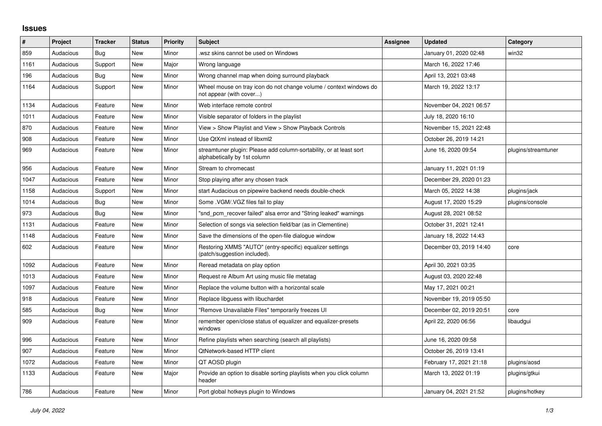## **Issues**

| #    | Project   | <b>Tracker</b> | <b>Status</b> | <b>Priority</b> | <b>Subject</b>                                                                                      | <b>Assignee</b> | <b>Updated</b>          | Category            |
|------|-----------|----------------|---------------|-----------------|-----------------------------------------------------------------------------------------------------|-----------------|-------------------------|---------------------|
| 859  | Audacious | Bug            | <b>New</b>    | Minor           | wsz skins cannot be used on Windows                                                                 |                 | January 01, 2020 02:48  | win32               |
| 1161 | Audacious | Support        | New           | Major           | Wrong language                                                                                      |                 | March 16, 2022 17:46    |                     |
| 196  | Audacious | Bug            | New           | Minor           | Wrong channel map when doing surround playback                                                      |                 | April 13, 2021 03:48    |                     |
| 1164 | Audacious | Support        | New           | Minor           | Wheel mouse on tray icon do not change volume / context windows do<br>not appear (with cover)       |                 | March 19, 2022 13:17    |                     |
| 1134 | Audacious | Feature        | New           | Minor           | Web interface remote control                                                                        |                 | November 04, 2021 06:57 |                     |
| 1011 | Audacious | Feature        | New           | Minor           | Visible separator of folders in the playlist                                                        |                 | July 18, 2020 16:10     |                     |
| 870  | Audacious | Feature        | New           | Minor           | View > Show Playlist and View > Show Playback Controls                                              |                 | November 15, 2021 22:48 |                     |
| 908  | Audacious | Feature        | New           | Minor           | Use QtXml instead of libxml2                                                                        |                 | October 26, 2019 14:21  |                     |
| 969  | Audacious | Feature        | <b>New</b>    | Minor           | streamtuner plugin: Please add column-sortability, or at least sort<br>alphabetically by 1st column |                 | June 16, 2020 09:54     | plugins/streamtuner |
| 956  | Audacious | Feature        | <b>New</b>    | Minor           | Stream to chromecast                                                                                |                 | January 11, 2021 01:19  |                     |
| 1047 | Audacious | Feature        | New           | Minor           | Stop playing after any chosen track                                                                 |                 | December 29, 2020 01:23 |                     |
| 1158 | Audacious | Support        | New           | Minor           | start Audacious on pipewire backend needs double-check                                              |                 | March 05, 2022 14:38    | plugins/jack        |
| 1014 | Audacious | Bug            | New           | Minor           | Some .VGM/.VGZ files fail to play                                                                   |                 | August 17, 2020 15:29   | plugins/console     |
| 973  | Audacious | Bug            | <b>New</b>    | Minor           | "snd pcm recover failed" alsa error and "String leaked" warnings                                    |                 | August 28, 2021 08:52   |                     |
| 1131 | Audacious | Feature        | New           | Minor           | Selection of songs via selection field/bar (as in Clementine)                                       |                 | October 31, 2021 12:41  |                     |
| 1148 | Audacious | Feature        | New           | Minor           | Save the dimensions of the open-file dialogue window                                                |                 | January 18, 2022 14:43  |                     |
| 602  | Audacious | Feature        | New           | Minor           | Restoring XMMS "AUTO" (entry-specific) equalizer settings<br>(patch/suggestion included).           |                 | December 03, 2019 14:40 | core                |
| 1092 | Audacious | Feature        | New           | Minor           | Reread metadata on play option                                                                      |                 | April 30, 2021 03:35    |                     |
| 1013 | Audacious | Feature        | New           | Minor           | Request re Album Art using music file metatag                                                       |                 | August 03, 2020 22:48   |                     |
| 1097 | Audacious | Feature        | New           | Minor           | Replace the volume button with a horizontal scale                                                   |                 | May 17, 2021 00:21      |                     |
| 918  | Audacious | Feature        | New           | Minor           | Replace libguess with libuchardet                                                                   |                 | November 19, 2019 05:50 |                     |
| 585  | Audacious | Bug            | New           | Minor           | "Remove Unavailable Files" temporarily freezes UI                                                   |                 | December 02, 2019 20:51 | core                |
| 909  | Audacious | Feature        | New           | Minor           | remember open/close status of equalizer and equalizer-presets<br>windows                            |                 | April 22, 2020 06:56    | libaudgui           |
| 996  | Audacious | Feature        | New           | Minor           | Refine playlists when searching (search all playlists)                                              |                 | June 16, 2020 09:58     |                     |
| 907  | Audacious | Feature        | <b>New</b>    | Minor           | <b>QtNetwork-based HTTP client</b>                                                                  |                 | October 26, 2019 13:41  |                     |
| 1072 | Audacious | Feature        | New           | Minor           | QT AOSD plugin                                                                                      |                 | February 17, 2021 21:18 | plugins/aosd        |
| 1133 | Audacious | Feature        | New           | Major           | Provide an option to disable sorting playlists when you click column<br>header                      |                 | March 13, 2022 01:19    | plugins/gtkui       |
| 786  | Audacious | Feature        | <b>New</b>    | Minor           | Port global hotkeys plugin to Windows                                                               |                 | January 04, 2021 21:52  | plugins/hotkey      |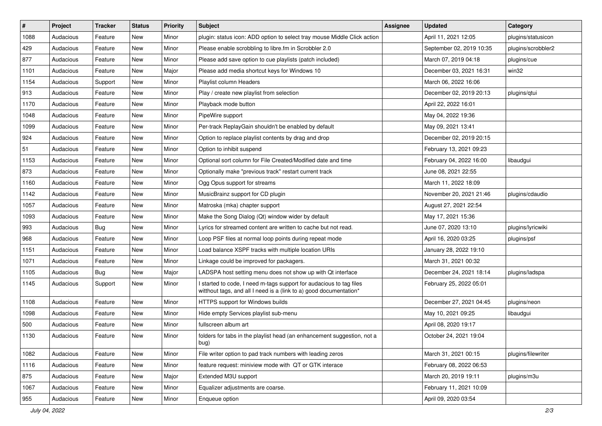| $\#$ | Project   | <b>Tracker</b> | <b>Status</b> | <b>Priority</b> | <b>Subject</b>                                                                                                                            | <b>Assignee</b> | <b>Updated</b>           | Category           |
|------|-----------|----------------|---------------|-----------------|-------------------------------------------------------------------------------------------------------------------------------------------|-----------------|--------------------------|--------------------|
| 1088 | Audacious | Feature        | New           | Minor           | plugin: status icon: ADD option to select tray mouse Middle Click action                                                                  |                 | April 11, 2021 12:05     | plugins/statusicon |
| 429  | Audacious | Feature        | New           | Minor           | Please enable scrobbling to libre.fm in Scrobbler 2.0                                                                                     |                 | September 02, 2019 10:35 | plugins/scrobbler2 |
| 877  | Audacious | Feature        | New           | Minor           | Please add save option to cue playlists (patch included)                                                                                  |                 | March 07, 2019 04:18     | plugins/cue        |
| 1101 | Audacious | Feature        | New           | Major           | Please add media shortcut keys for Windows 10                                                                                             |                 | December 03, 2021 16:31  | win32              |
| 1154 | Audacious | Support        | New           | Minor           | Playlist column Headers                                                                                                                   |                 | March 06, 2022 16:06     |                    |
| 913  | Audacious | Feature        | New           | Minor           | Play / create new playlist from selection                                                                                                 |                 | December 02, 2019 20:13  | plugins/qtui       |
| 1170 | Audacious | Feature        | New           | Minor           | Playback mode button                                                                                                                      |                 | April 22, 2022 16:01     |                    |
| 1048 | Audacious | Feature        | New           | Minor           | PipeWire support                                                                                                                          |                 | May 04, 2022 19:36       |                    |
| 1099 | Audacious | Feature        | New           | Minor           | Per-track ReplayGain shouldn't be enabled by default                                                                                      |                 | May 09, 2021 13:41       |                    |
| 924  | Audacious | Feature        | New           | Minor           | Option to replace playlist contents by drag and drop                                                                                      |                 | December 02, 2019 20:15  |                    |
| 51   | Audacious | Feature        | New           | Minor           | Option to inhibit suspend                                                                                                                 |                 | February 13, 2021 09:23  |                    |
| 1153 | Audacious | Feature        | New           | Minor           | Optional sort column for File Created/Modified date and time                                                                              |                 | February 04, 2022 16:00  | libaudgui          |
| 873  | Audacious | Feature        | New           | Minor           | Optionally make "previous track" restart current track                                                                                    |                 | June 08, 2021 22:55      |                    |
| 1160 | Audacious | Feature        | New           | Minor           | Ogg Opus support for streams                                                                                                              |                 | March 11, 2022 18:09     |                    |
| 1142 | Audacious | Feature        | New           | Minor           | MusicBrainz support for CD plugin                                                                                                         |                 | November 20, 2021 21:46  | plugins/cdaudio    |
| 1057 | Audacious | Feature        | New           | Minor           | Matroska (mka) chapter support                                                                                                            |                 | August 27, 2021 22:54    |                    |
| 1093 | Audacious | Feature        | New           | Minor           | Make the Song Dialog (Qt) window wider by default                                                                                         |                 | May 17, 2021 15:36       |                    |
| 993  | Audacious | Bug            | New           | Minor           | Lyrics for streamed content are written to cache but not read.                                                                            |                 | June 07, 2020 13:10      | plugins/lyricwiki  |
| 968  | Audacious | Feature        | New           | Minor           | Loop PSF files at normal loop points during repeat mode                                                                                   |                 | April 16, 2020 03:25     | plugins/psf        |
| 1151 | Audacious | Feature        | <b>New</b>    | Minor           | Load balance XSPF tracks with multiple location URIs                                                                                      |                 | January 28, 2022 19:10   |                    |
| 1071 | Audacious | Feature        | New           | Minor           | Linkage could be improved for packagers.                                                                                                  |                 | March 31, 2021 00:32     |                    |
| 1105 | Audacious | <b>Bug</b>     | New           | Major           | LADSPA host setting menu does not show up with Qt interface                                                                               |                 | December 24, 2021 18:14  | plugins/ladspa     |
| 1145 | Audacious | Support        | New           | Minor           | I started to code, I need m-tags support for audacious to tag files<br>witthout tags, and all I need is a (link to a) good documentation* |                 | February 25, 2022 05:01  |                    |
| 1108 | Audacious | Feature        | New           | Minor           | HTTPS support for Windows builds                                                                                                          |                 | December 27, 2021 04:45  | plugins/neon       |
| 1098 | Audacious | Feature        | New           | Minor           | Hide empty Services playlist sub-menu                                                                                                     |                 | May 10, 2021 09:25       | libaudgui          |
| 500  | Audacious | Feature        | New           | Minor           | fullscreen album art                                                                                                                      |                 | April 08, 2020 19:17     |                    |
| 1130 | Audacious | Feature        | New           | Minor           | folders for tabs in the playlist head (an enhancement suggestion, not a<br>bug)                                                           |                 | October 24, 2021 19:04   |                    |
| 1082 | Audacious | Feature        | New           | Minor           | File writer option to pad track numbers with leading zeros                                                                                |                 | March 31, 2021 00:15     | plugins/filewriter |
| 1116 | Audacious | Feature        | New           | Minor           | feature request: miniview mode with QT or GTK interace                                                                                    |                 | February 08, 2022 06:53  |                    |
| 875  | Audacious | Feature        | New           | Major           | Extended M3U support                                                                                                                      |                 | March 20, 2019 19:11     | plugins/m3u        |
| 1067 | Audacious | Feature        | New           | Minor           | Equalizer adjustments are coarse.                                                                                                         |                 | February 11, 2021 10:09  |                    |
| 955  | Audacious | Feature        | New           | Minor           | Enqueue option                                                                                                                            |                 | April 09, 2020 03:54     |                    |